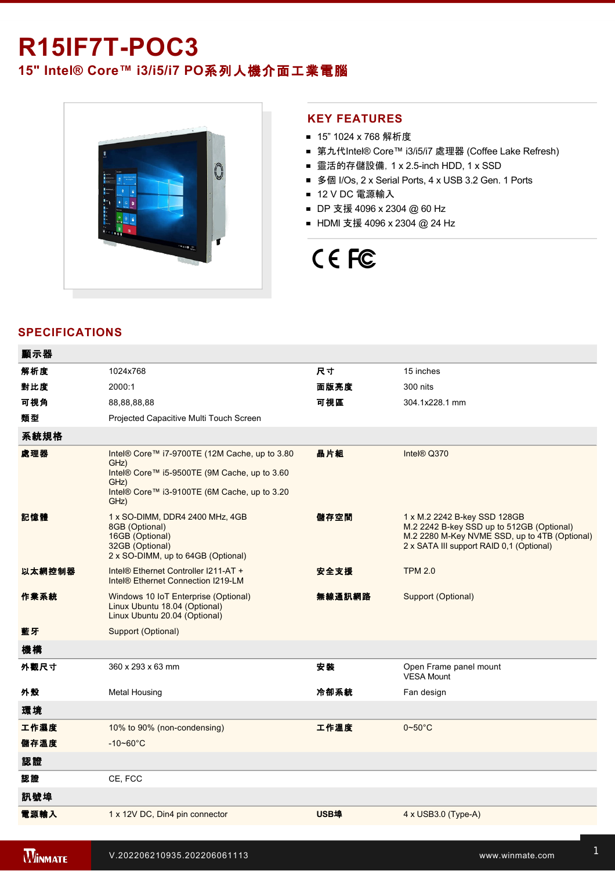# **R15IF7T-POC3**

### **15" Intel® Core™ i3/i5/i7 PO**系列人機介面工業電腦



### **KEY FEATURES**

- 15" 1024 x 768 解析度
- 第九代Intel® Core™ i3/i5/i7 處理器 (Coffee Lake Refresh)
- 靈活的存儲設備, 1 x 2.5-inch HDD, 1 x SSD
- 多個 I/Os, 2 x Serial Ports, 4 x USB 3.2 Gen. 1 Ports
- 12 V DC 電源輸入
- DP 支援 4096 x 2304 @ 60 Hz
- HDMI 支援 4096 x 2304 @ 24 Hz

## CE FC

### **SPECIFICATIONS**

| 顯示器    |                                                                                                                                                                       |             |                                                                                                                                                                        |
|--------|-----------------------------------------------------------------------------------------------------------------------------------------------------------------------|-------------|------------------------------------------------------------------------------------------------------------------------------------------------------------------------|
| 解析度    | 1024x768                                                                                                                                                              | 尺寸          | 15 inches                                                                                                                                                              |
| 對比度    | 2000:1                                                                                                                                                                | 面版亮度        | 300 nits                                                                                                                                                               |
| 可視角    | 88,88,88,88                                                                                                                                                           | 可視區         | 304.1x228.1 mm                                                                                                                                                         |
| 類型     | Projected Capacitive Multi Touch Screen                                                                                                                               |             |                                                                                                                                                                        |
| 系統規格   |                                                                                                                                                                       |             |                                                                                                                                                                        |
| 處理器    | Intel® Core™ i7-9700TE (12M Cache, up to 3.80<br>GHz)<br>Intel® Core™ i5-9500TE (9M Cache, up to 3.60<br>GHz)<br>Intel® Core™ i3-9100TE (6M Cache, up to 3.20<br>GHz) | 晶片組         | Intel® Q370                                                                                                                                                            |
| 記憶體    | 1 x SO-DIMM, DDR4 2400 MHz, 4GB<br>8GB (Optional)<br>16GB (Optional)<br>32GB (Optional)<br>2 x SO-DIMM, up to 64GB (Optional)                                         | 儲存空間        | 1 x M.2 2242 B-key SSD 128GB<br>M.2 2242 B-key SSD up to 512GB (Optional)<br>M.2 2280 M-Key NVME SSD, up to 4TB (Optional)<br>2 x SATA III support RAID 0,1 (Optional) |
| 以太網控制器 | Intel® Ethernet Controller I211-AT +<br>Intel <sup>®</sup> Ethernet Connection I219-LM                                                                                | 安全支援        | <b>TPM 2.0</b>                                                                                                                                                         |
| 作業系統   | Windows 10 IoT Enterprise (Optional)<br>Linux Ubuntu 18.04 (Optional)<br>Linux Ubuntu 20.04 (Optional)                                                                | 無線通訊網路      | Support (Optional)                                                                                                                                                     |
| 藍牙     | Support (Optional)                                                                                                                                                    |             |                                                                                                                                                                        |
| 機構     |                                                                                                                                                                       |             |                                                                                                                                                                        |
| 外觀尺寸   | 360 x 293 x 63 mm                                                                                                                                                     | 安装          | Open Frame panel mount<br><b>VESA Mount</b>                                                                                                                            |
| 外殼     | <b>Metal Housing</b>                                                                                                                                                  | 冷卻系統        | Fan design                                                                                                                                                             |
| 環境     |                                                                                                                                                                       |             |                                                                                                                                                                        |
| 工作濕度   | 10% to 90% (non-condensing)                                                                                                                                           | 工作溫度        | $0 - 50^{\circ}$ C                                                                                                                                                     |
| 儲存溫度   | $-10 - 60^{\circ}$ C                                                                                                                                                  |             |                                                                                                                                                                        |
| 認證     |                                                                                                                                                                       |             |                                                                                                                                                                        |
| 認證     | CE, FCC                                                                                                                                                               |             |                                                                                                                                                                        |
| 訊號埠    |                                                                                                                                                                       |             |                                                                                                                                                                        |
| 電源輸入   | 1 x 12V DC, Din4 pin connector                                                                                                                                        | <b>USB埠</b> | $4 \times$ USB3.0 (Type-A)                                                                                                                                             |

<u>1 x RS23</u>

1 x HDMI 1.4 (Optional)